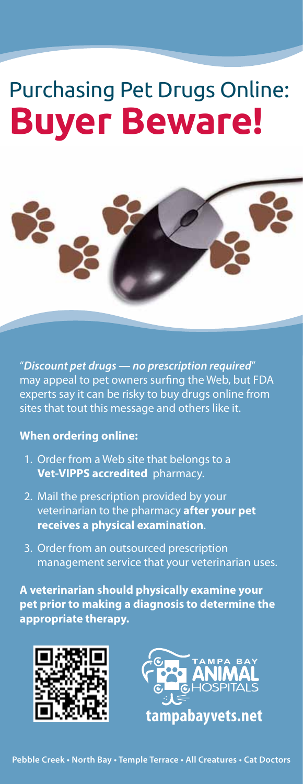# Purchasing Pet Drugs Online: **Buyer Beware!**



"*Discount pet drugs — no prescription required*" may appeal to pet owners surfing the Web, but FDA experts say it can be risky to buy drugs online from sites that tout this message and others like it.

#### **When ordering online:**

- 1. Order from a Web site that belongs to a **Vet-VIPPS accredited** pharmacy.
- 2. Mail the prescription provided by your veterinarian to the pharmacy **after your pet receives a physical examination**.
- 3. Order from an outsourced prescription management service that your veterinarian uses.

**A veterinarian should physically examine your** pet prior to making a diagnosis to determine the **appropriate therapy.**